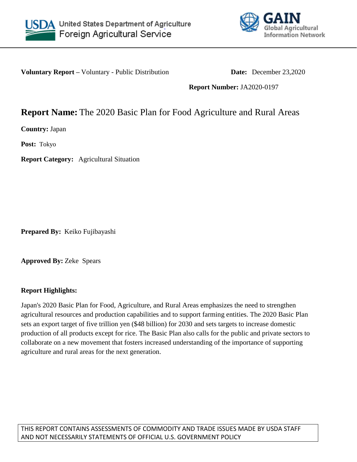



**Voluntary Report** – Voluntary - Public Distribution **Date:** December 23,2020

**Report Number:** JA2020-0197

# **Report Name:** The 2020 Basic Plan for Food Agriculture and Rural Areas

**Country:** Japan

**Post:** Tokyo

**Report Category:** Agricultural Situation

**Prepared By:** Keiko Fujibayashi

**Approved By:** Zeke Spears

# **Report Highlights:**

Japan's 2020 Basic Plan for Food, Agriculture, and Rural Areas emphasizes the need to strengthen agricultural resources and production capabilities and to support farming entities. The 2020 Basic Plan sets an export target of five trillion yen (\$48 billion) for 2030 and sets targets to increase domestic production of all products except for rice. The Basic Plan also calls for the public and private sectors to collaborate on a new movement that fosters increased understanding of the importance of supporting agriculture and rural areas for the next generation.

THIS REPORT CONTAINS ASSESSMENTS OF COMMODITY AND TRADE ISSUES MADE BY USDA STAFF AND NOT NECESSARILY STATEMENTS OF OFFICIAL U.S. GOVERNMENT POLICY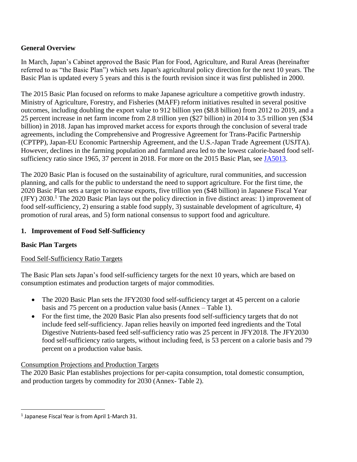# **General Overview**

In March, Japan's Cabinet approved the Basic Plan for Food, Agriculture, and Rural Areas (hereinafter referred to as "the Basic Plan") which sets Japan's agricultural policy direction for the next 10 years. The Basic Plan is updated every 5 years and this is the fourth revision since it was first published in 2000.

The 2015 Basic Plan focused on reforms to make Japanese agriculture a competitive growth industry. Ministry of Agriculture, Forestry, and Fisheries (MAFF) reform initiatives resulted in several positive outcomes, including doubling the export value to 912 billion yen (\$8.8 billion) from 2012 to 2019, and a 25 percent increase in net farm income from 2.8 trillion yen (\$27 billion) in 2014 to 3.5 trillion yen (\$34 billion) in 2018. Japan has improved market access for exports through the conclusion of several trade agreements, including the Comprehensive and Progressive Agreement for Trans-Pacific Partnership (CPTPP), Japan-EU Economic Partnership Agreement, and the U.S.-Japan Trade Agreement (USJTA). However, declines in the farming population and farmland area led to the lowest calorie-based food selfsufficiency ratio since 1965, 37 percent in 2018. For more on the 2015 Basic Plan, see [JA5013.](https://apps.fas.usda.gov/newgainapi/api/Report/DownloadReportByFileName?fileName=Japan%27s%20Basic%20Plan%20for%20Food%20Agriculture%20and%20Rural%20Areas_Tokyo_Japan_4-10-2015)

The 2020 Basic Plan is focused on the sustainability of agriculture, rural communities, and succession planning, and calls for the public to understand the need to support agriculture. For the first time, the 2020 Basic Plan sets a target to increase exports, five trillion yen (\$48 billion) in Japanese Fiscal Year (JFY) 2030. <sup>1</sup> The 2020 Basic Plan lays out the policy direction in five distinct areas: 1) improvement of food self-sufficiency, 2) ensuring a stable food supply, 3) sustainable development of agriculture, 4) promotion of rural areas, and 5) form national consensus to support food and agriculture.

# **1. Improvement of Food Self-Sufficiency**

# **Basic Plan Targets**

# Food Self-Sufficiency Ratio Targets

The Basic Plan sets Japan's food self-sufficiency targets for the next 10 years, which are based on consumption estimates and production targets of major commodities.

- The 2020 Basic Plan sets the JFY2030 food self-sufficiency target at 45 percent on a calorie basis and 75 percent on a production value basis (Annex – Table 1).
- For the first time, the 2020 Basic Plan also presents food self-sufficiency targets that do not include feed self-sufficiency. Japan relies heavily on imported feed ingredients and the Total Digestive Nutrients-based feed self-sufficiency ratio was 25 percent in JFY2018. The JFY2030 food self-sufficiency ratio targets, without including feed, is 53 percent on a calorie basis and 79 percent on a production value basis.

# Consumption Projections and Production Targets

The 2020 Basic Plan establishes projections for per-capita consumption, total domestic consumption, and production targets by commodity for 2030 (Annex- Table 2).

l

<sup>&</sup>lt;sup>1</sup> Japanese Fiscal Year is from April 1-March 31.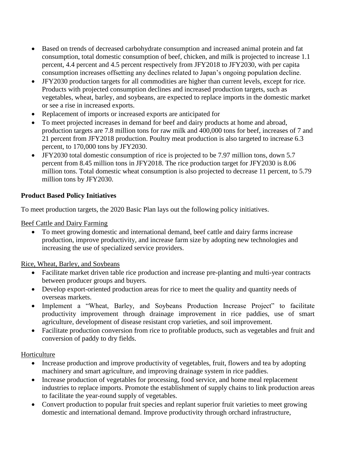- Based on trends of decreased carbohydrate consumption and increased animal protein and fat consumption, total domestic consumption of beef, chicken, and milk is projected to increase 1.1 percent, 4.4 percent and 4.5 percent respectively from JFY2018 to JFY2030, with per capita consumption increases offsetting any declines related to Japan's ongoing population decline.
- JFY2030 production targets for all commodities are higher than current levels, except for rice. Products with projected consumption declines and increased production targets, such as vegetables, wheat, barley, and soybeans, are expected to replace imports in the domestic market or see a rise in increased exports.
- Replacement of imports or increased exports are anticipated for
- To meet projected increases in demand for beef and dairy products at home and abroad, production targets are 7.8 million tons for raw milk and 400,000 tons for beef, increases of 7 and 21 percent from JFY2018 production. Poultry meat production is also targeted to increase 6.3 percent, to 170,000 tons by JFY2030.
- JFY2030 total domestic consumption of rice is projected to be 7.97 million tons, down 5.7 percent from 8.45 million tons in JFY2018. The rice production target for JFY2030 is 8.06 million tons. Total domestic wheat consumption is also projected to decrease 11 percent, to 5.79 million tons by JFY2030.

# **Product Based Policy Initiatives**

To meet production targets, the 2020 Basic Plan lays out the following policy initiatives.

Beef Cattle and Dairy Farming

 To meet growing domestic and international demand, beef cattle and dairy farms increase production, improve productivity, and increase farm size by adopting new technologies and increasing the use of specialized service providers.

# Rice, Wheat, Barley, and Soybeans

- Facilitate market driven table rice production and increase pre-planting and multi-year contracts between producer groups and buyers.
- Develop export-oriented production areas for rice to meet the quality and quantity needs of overseas markets.
- Implement a "Wheat, Barley, and Soybeans Production Increase Project" to facilitate productivity improvement through drainage improvement in rice paddies, use of smart agriculture, development of disease resistant crop varieties, and soil improvement.
- Facilitate production conversion from rice to profitable products, such as vegetables and fruit and conversion of paddy to dry fields.

# Horticulture

- Increase production and improve productivity of vegetables, fruit, flowers and tea by adopting machinery and smart agriculture, and improving drainage system in rice paddies.
- Increase production of vegetables for processing, food service, and home meal replacement industries to replace imports. Promote the establishment of supply chains to link production areas to facilitate the year-round supply of vegetables.
- Convert production to popular fruit species and replant superior fruit varieties to meet growing domestic and international demand. Improve productivity through orchard infrastructure,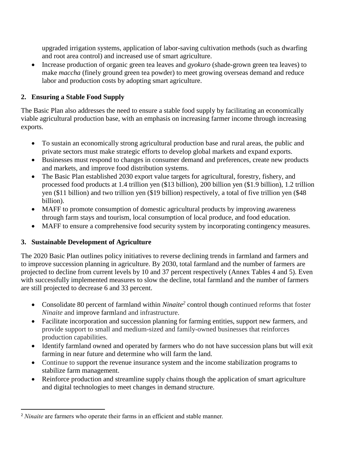upgraded irrigation systems, application of labor-saving cultivation methods (such as dwarfing and root area control) and increased use of smart agriculture.

 Increase production of organic green tea leaves and *gyokuro* (shade-grown green tea leaves) to make *maccha* (finely ground green tea powder) to meet growing overseas demand and reduce labor and production costs by adopting smart agriculture.

# **2. Ensuring a Stable Food Supply**

The Basic Plan also addresses the need to ensure a stable food supply by facilitating an economically viable agricultural production base, with an emphasis on increasing farmer income through increasing exports.

- To sustain an economically strong agricultural production base and rural areas, the public and private sectors must make strategic efforts to develop global markets and expand exports.
- Businesses must respond to changes in consumer demand and preferences, create new products and markets, and improve food distribution systems.
- The Basic Plan established 2030 export value targets for agricultural, forestry, fishery, and processed food products at 1.4 trillion yen (\$13 billion), 200 billion yen (\$1.9 billion), 1.2 trillion yen (\$11 billion) and two trillion yen (\$19 billion) respectively, a total of five trillion yen (\$48 billion).
- MAFF to promote consumption of domestic agricultural products by improving awareness through farm stays and tourism, local consumption of local produce, and food education.
- MAFF to ensure a comprehensive food security system by incorporating contingency measures.

# **3. Sustainable Development of Agriculture**

 $\overline{\phantom{a}}$ 

The 2020 Basic Plan outlines policy initiatives to reverse declining trends in farmland and farmers and to improve succession planning in agriculture. By 2030, total farmland and the number of farmers are projected to decline from current levels by 10 and 37 percent respectively (Annex Tables 4 and 5). Even with successfully implemented measures to slow the decline, total farmland and the number of farmers are still projected to decrease 6 and 33 percent.

- Consolidate 80 percent of farmland within *Ninaite<sup>2</sup>* control though continued reforms that foster *Ninaite* and improve farmland and infrastructure.
- Facilitate incorporation and succession planning for farming entities, support new farmers, and provide support to small and medium-sized and family-owned businesses that reinforces production capabilities.
- Identify farmland owned and operated by farmers who do not have succession plans but will exit farming in near future and determine who will farm the land.
- Continue to support the revenue insurance system and the income stabilization programs to stabilize farm management.
- Reinforce production and streamline supply chains though the application of smart agriculture and digital technologies to meet changes in demand structure.

<sup>&</sup>lt;sup>2</sup> *Ninaite* are farmers who operate their farms in an efficient and stable manner.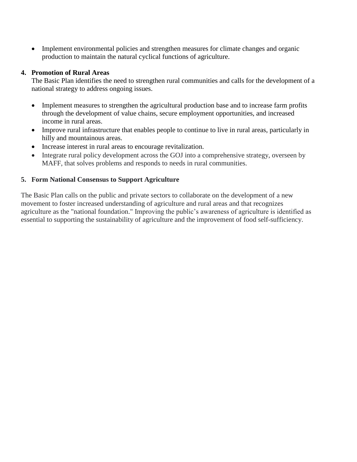• Implement environmental policies and strengthen measures for climate changes and organic production to maintain the natural cyclical functions of agriculture.

#### **4. Promotion of Rural Areas**

The Basic Plan identifies the need to strengthen rural communities and calls for the development of a national strategy to address ongoing issues.

- Implement measures to strengthen the agricultural production base and to increase farm profits through the development of value chains, secure employment opportunities, and increased income in rural areas.
- Improve rural infrastructure that enables people to continue to live in rural areas, particularly in hilly and mountainous areas.
- Increase interest in rural areas to encourage revitalization.
- Integrate rural policy development across the GOJ into a comprehensive strategy, overseen by MAFF, that solves problems and responds to needs in rural communities.

# **5. Form National Consensus to Support Agriculture**

The Basic Plan calls on the public and private sectors to collaborate on the development of a new movement to foster increased understanding of agriculture and rural areas and that recognizes agriculture as the "national foundation." Improving the public's awareness of agriculture is identified as essential to supporting the sustainability of agriculture and the improvement of food self-sufficiency.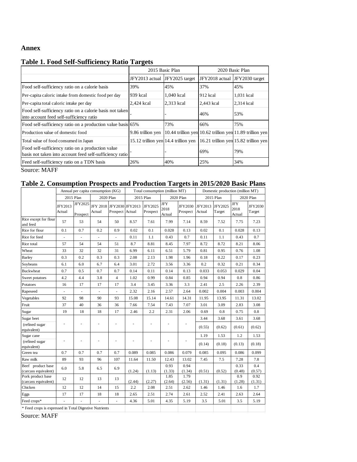#### **Annex**

|                                                                                                               |                   | 2015 Basic Plan                      | 2020 Basic Plan |                                                          |  |
|---------------------------------------------------------------------------------------------------------------|-------------------|--------------------------------------|-----------------|----------------------------------------------------------|--|
|                                                                                                               | JFY2013 actual    | JFY2025 target                       | JFY2018 actual  | JFY2030 target                                           |  |
| Food self-sufficiency ratio on a calorie basis                                                                | 39%               | 45%                                  | 37%             | 45%                                                      |  |
| Per-capita caloric intake from domestic food per day                                                          | 939 kcal          | 1.040 kcal                           | $912$ kcal      | 1,031 kcal                                               |  |
| Per-capita total caloric intake per day                                                                       | 2,424 kcal        | 2,313 kcal                           | 2,443 kcal      | 2,314 kcal                                               |  |
| Food self-sufficiency ratio on a calorie basis not taken<br>into account feed self-sufficiency ratio          |                   |                                      | 46%             | 53%                                                      |  |
| Food self-sufficiency ratio on a production value basis 65%                                                   |                   | 73%                                  | 66%             | 75%                                                      |  |
| Production value of domestic food                                                                             | 9.86 trillion yen |                                      |                 | 10.44 trillion yen 10.62 trillion yen 11.89 trillion yen |  |
| Total value of food consumed in Japan                                                                         |                   | 15.12 trillion yen 14.4 trillion yen |                 | 16.21 trillion yen 15.82 trillion yen                    |  |
| Food self-sufficiency ratio on a production value<br>basis not taken into account feed self-sufficiency ratio |                   |                                      | 69%             | 79%                                                      |  |
| Feed self-sufficiency ratio on a TDN basis                                                                    | 26%               | 40%                                  | 25%             | 34%                                                      |  |

# **Table 1. Food Self-Sufficiency Ratio Targets**

Source: MAFF

#### **Table 2. Consumption Prospects and Production Targets in 2015/2020 Basic Plans**

|                                                        | Annual per capita consumption (KG) |                     | Total consumption (million MT)     |                 |           |                     | Domestic production (million MT) |                            |                           |        |                              |                          |
|--------------------------------------------------------|------------------------------------|---------------------|------------------------------------|-----------------|-----------|---------------------|----------------------------------|----------------------------|---------------------------|--------|------------------------------|--------------------------|
|                                                        | 2015 Plan                          |                     | 2020 Plan                          |                 | 2015 Plan |                     | 2020 Plan                        |                            | 2015 Plan                 |        | 2020 Plan                    |                          |
|                                                        | JFY2013<br>Actual                  | JFY2025<br>Prospect | JFY 2018 JFY2030 JFY2013<br>Actual | Prospect Actual |           | JFY2025<br>Prospect | <b>JFY</b><br>2018<br>Actual     | <b>JFY2030</b><br>Prospect | JFY2013 JFY2025<br>Actual | Target | <b>JFY</b><br>2018<br>Actual | <b>JFY2030</b><br>Target |
| Rice except for flour<br>and feed                      | 57                                 | 53                  | 54                                 | 50              | 8.57      | 7.61                | 7.99                             | 7.14                       | 8.59                      | 7.52   | 7.75                         | 7.23                     |
| Rice for flour                                         | 0.1                                | 0.7                 | 0.2                                | 0.9             | 0.02      | 0.1                 | 0.028                            | 0.13                       | 0.02                      | 0.1    | 0.028                        | 0.13                     |
| Rice for feed                                          | ù.                                 | $\blacksquare$      | ä,                                 | ÷.              | 0.11      | 1.1                 | 0.43                             | 0.7                        | 0.11                      | 1.1    | 0.43                         | 0.7                      |
| Rice total                                             | 57                                 | 54                  | 54                                 | 51              | 8.7       | 8.81                | 8.45                             | 7.97                       | 8.72                      | 8.72   | 8.21                         | 8.06                     |
| Wheat                                                  | 33                                 | 32                  | 32                                 | 31              | 6.99      | 6.11                | 6.51                             | 5.79                       | 0.81                      | 0.95   | 0.76                         | 1.08                     |
| <b>Barley</b>                                          | 0.3                                | 0.2                 | 0.3                                | 0.3             | 2.08      | 2.13                | 1.98                             | 1.96                       | 0.18                      | 0.22   | 0.17                         | 0.23                     |
| Soybeans                                               | 6.1                                | 6.0                 | 6.7                                | 6.4             | 3.01      | 2.72                | 3.56                             | 3.36                       | 0.2                       | 0.32   | 0.21                         | 0.34                     |
| <b>Buckwheat</b>                                       | 0.7                                | 0.5                 | 0.7                                | 0.7             | 0.14      | 0.11                | 0.14                             | 0.13                       | 0.033                     | 0.053  | 0.029                        | 0.04                     |
| Sweet potatoes                                         | 4.2                                | 4.4                 | 3.8                                | $\overline{4}$  | 1.02      | 0.99                | 0.84                             | 0.85                       | 0.94                      | 0.94   | 0.8                          | 0.86                     |
| Potatoes                                               | 16                                 | 17                  | 17                                 | 17              | 3.4       | 3.45                | 3.36                             | 3.3                        | 2.41                      | 2.5    | 2.26                         | 2.39                     |
| Rapeseed                                               | ÷,                                 |                     | ÷,                                 | ä,              | 2.32      | 2.16                | 2.57                             | 2.64                       | 0.002                     | 0.004  | 0.003                        | 0.004                    |
| Vegetables                                             | 92                                 | 98                  | 90                                 | 93              | 15.08     | 15.14               | 14.61                            | 14.31                      | 11.95                     | 13.95  | 11.31                        | 13.02                    |
| Fruit                                                  | 37                                 | 40                  | 36                                 | 36              | 7.66      | 7.54                | 7.43                             | 7.07                       | 3.01                      | 3.09   | 2.83                         | 3.08                     |
| Sugar                                                  | 19                                 | 18                  | 18                                 | 17              | 2.46      | 2.2                 | 2.31                             | 2.06                       | 0.69                      | 0.8    | 0.75                         | 0.8                      |
| Sugar beet                                             |                                    |                     |                                    |                 |           |                     |                                  |                            | 3.44                      | 3.68   | 3.61                         | 3.68                     |
| (refined sugar<br>equivalent)                          |                                    | ä,                  |                                    |                 |           |                     |                                  |                            | (0.55)                    | (0.62) | (0.61)                       | (0.62)                   |
| Sugar cane                                             |                                    |                     |                                    |                 |           |                     |                                  |                            | 1.19                      | 1.53   | 1.2                          | 1.53                     |
| (refined sugar<br>equivalent)                          |                                    | ł,                  |                                    | ÷,              |           |                     | ÷,                               |                            | (0.14)                    | (0.18) | (0.13)                       | (0.18)                   |
| Green tea                                              | 0.7                                | 0.7                 | 0.7                                | 0.7             | 0.089     | 0.085               | 0.086                            | 0.079                      | 0.085                     | 0.095  | 0.086                        | 0.099                    |
| Raw milk                                               | 89                                 | 93                  | 96                                 | 107             | 11.64     | 11.50               | 12.43                            | 13.02                      | 7.45                      | 7.5    | 7.28                         | 7.8                      |
| Beef product base<br>(carcass equivalent)              | 6.0                                | 5.8                 | 6.5                                | 6.9             | (1.24)    | (1.13)              | 0.93<br>(1.33)                   | 0.94<br>(1.34)             | (0.51)                    | (0.52) | 0.33<br>(0.48)               | 0.4<br>(0.57)            |
| Pork product base<br>(carcass equivalent)              | 12                                 | 12                  | 13                                 | 13              | (2.44)    | (2.27)              | 1.85<br>(2.64)                   | 1.79<br>(2.56)             | (1.31)                    | (1.31) | 0.9<br>(1.28)                | 0.92<br>(1.31)           |
| Chicken                                                | 12                                 | 12                  | 14                                 | 15              | 2.2       | 2.08                | 2.51                             | 2.62                       | 1.46                      | 1.46   | 1.6                          | 1.7                      |
| Eggs                                                   | 17                                 | 17                  | 18                                 | 18              | 2.65      | 2.51                | 2.74                             | 2.61                       | 2.52                      | 2.41   | 2.63                         | 2.64                     |
| Feed crops*                                            |                                    |                     |                                    |                 | 4.36      | 5.01                | 4.35                             | 5.19                       | 3.5                       | 5.01   | 3.5                          | 5.19                     |
| * Feed crops is expressed in Total Digestive Nutrients |                                    |                     |                                    |                 |           |                     |                                  |                            |                           |        |                              |                          |

Source: MAFF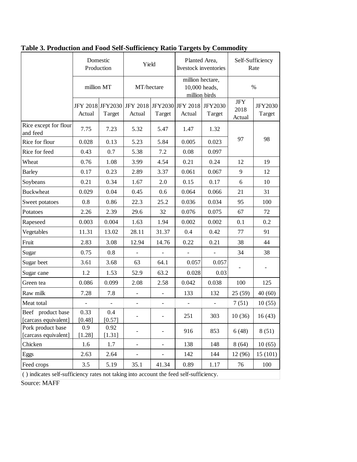|                                                                                             | Domestic<br>Production<br>million MT |                | Yield<br>MT/hectare      |                              | Planted Area,<br>livestock inventories<br>million hectare,<br>10,000 heads,<br>million birds |        | Self-Sufficiency<br>Rate     |                          |
|---------------------------------------------------------------------------------------------|--------------------------------------|----------------|--------------------------|------------------------------|----------------------------------------------------------------------------------------------|--------|------------------------------|--------------------------|
|                                                                                             |                                      |                |                          |                              |                                                                                              |        | $\%$                         |                          |
|                                                                                             | Actual                               | Target         | Actual                   | Target                       | JFY 2018 JFY2030 JFY 2018 JFY2030 JFY 2018 JFY2030<br>Actual                                 | Target | <b>JFY</b><br>2018<br>Actual | <b>JFY2030</b><br>Target |
| Rice except for flour<br>and feed                                                           | 7.75                                 | 7.23           | 5.32                     | 5.47                         | 1.47                                                                                         | 1.32   |                              |                          |
| Rice for flour                                                                              | 0.028                                | 0.13           | 5.23                     | 5.84                         | 0.005                                                                                        | 0.023  | 97                           | 98                       |
| Rice for feed                                                                               | 0.43                                 | 0.7            | 5.38                     | 7.2                          | 0.08                                                                                         | 0.097  |                              |                          |
| Wheat                                                                                       | 0.76                                 | 1.08           | 3.99                     | 4.54                         | 0.21                                                                                         | 0.24   | 12                           | 19                       |
| <b>Barley</b>                                                                               | 0.17                                 | 0.23           | 2.89                     | 3.37                         | 0.061                                                                                        | 0.067  | 9                            | 12                       |
| Soybeans                                                                                    | 0.21                                 | 0.34           | 1.67                     | 2.0                          | 0.15                                                                                         | 0.17   | 6                            | 10                       |
| <b>Buckwheat</b>                                                                            | 0.029                                | 0.04           | 0.45                     | 0.6                          | 0.064                                                                                        | 0.066  | 21                           | 31                       |
| Sweet potatoes                                                                              | 0.8                                  | 0.86           | 22.3                     | 25.2                         | 0.036                                                                                        | 0.034  | 95                           | 100                      |
| Potatoes                                                                                    | 2.26                                 | 2.39           | 29.6                     | 32                           | 0.076                                                                                        | 0.075  | 67                           | 72                       |
| Rapeseed                                                                                    | 0.003                                | 0.004          | 1.63                     | 1.94                         | 0.002                                                                                        | 0.002  | 0.1                          | 0.2                      |
| Vegetables                                                                                  | 11.31                                | 13.02          | 28.11                    | 31.37                        | 0.4                                                                                          | 0.42   | 77                           | 91                       |
| Fruit                                                                                       | 2.83                                 | 3.08           | 12.94                    | 14.76                        | 0.22                                                                                         | 0.21   | 38                           | 44                       |
| Sugar                                                                                       | 0.75                                 | 0.8            |                          |                              |                                                                                              |        | 34                           | 38                       |
| Sugar beet                                                                                  | 3.61                                 | 3.68           | 63                       | 64.1                         | 0.057                                                                                        | 0.057  |                              |                          |
| Sugar cane                                                                                  | 1.2                                  | 1.53           | 52.9                     | 63.2                         | 0.028                                                                                        | 0.03   |                              |                          |
| Green tea                                                                                   | 0.086                                | 0.099          | 2.08                     | 2.58                         | 0.042                                                                                        | 0.038  | 100                          | 125                      |
| Raw milk                                                                                    | 7.28                                 | 7.8            |                          | $\overline{\phantom{a}}$     | 133                                                                                          | 132    | 25(59)                       | 40(60)                   |
| Meat total                                                                                  |                                      |                |                          | $\overline{\phantom{m}}$     |                                                                                              |        | 7(51)                        | 10(55)                   |
| Beef product base<br>[carcass equivalent]                                                   | 0.33<br>[0.48]                       | 0.4<br>[0.57]  |                          |                              | 251                                                                                          | 303    | 10(36)                       | 16(43)                   |
| Pork product base<br>[carcass equivalent]                                                   | 0.9<br>[1.28]                        | 0.92<br>[1.31] |                          |                              | 916                                                                                          | 853    | 6(48)                        | 8(51)                    |
| Chicken                                                                                     | 1.6                                  | 1.7            |                          | $\qquad \qquad \blacksquare$ | 138                                                                                          | 148    | 8(64)                        | 10(65)                   |
| Eggs                                                                                        | 2.63                                 | 2.64           | $\overline{\phantom{0}}$ | $\qquad \qquad \blacksquare$ | 142                                                                                          | 144    | 12(96)                       | 15(101)                  |
| Feed crops                                                                                  | 3.5                                  | 5.19           | 35.1                     | 41.34                        | 0.89                                                                                         | 1.17   | 76                           | 100                      |
| $\alpha$ indicates self-sufficiency rates not taking into account the feed self-sufficiency |                                      |                |                          |                              |                                                                                              |        |                              |                          |

**Table 3. Production and Food Self-Sufficiency Ratio Targets by Commodity** 

( ) indicates self-sufficiency rates not taking into account the feed self-sufficiency.

Source: MAFF